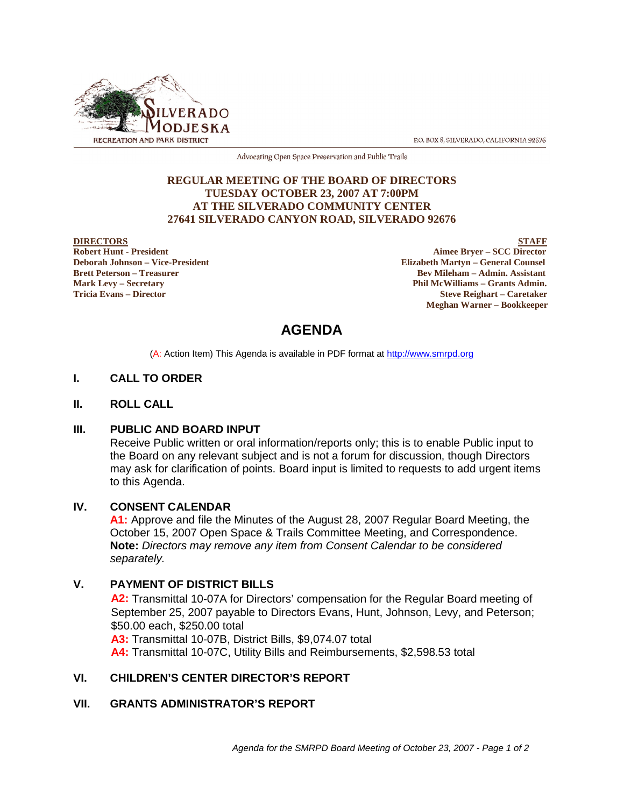

P.O. BOX 8, SILVERADO, CALIFORNIA 92676

Advocating Open Space Preservation and Public Trails

#### **REGULAR MEETING OF THE BOARD OF DIRECTORS TUESDAY OCTOBER 23, 2007 AT 7:00PM AT THE SILVERADO COMMUNITY CENTER 27641 SILVERADO CANYON ROAD, SILVERADO 92676**

**DIRECTORS** STAFF<br>
Robert Hunt - President Aimee Bryer – SCC Director<br>
Aimee Bryer – SCC Director **Aimee Bryer – SCC Director Deborah Johnson – Vice-President Elizabeth Martyn – General Counsel Brett Peterson – Treasurer Sexual Assistant** Bev Mileham – Admin. Assistant **Mark Levy – Secretary Phil McWilliams – Grants Admin. Tricia Evans – Director Steve Reighart – Caretaker Meghan Warner – Bookkeeper**

# **AGENDA**

(A: Action Item) This Agenda is available in PDF format at http://www.smrpd.org

# **I. CALL TO ORDER**

#### **II. ROLL CALL**

#### **III. PUBLIC AND BOARD INPUT**

Receive Public written or oral information/reports only; this is to enable Public input to the Board on any relevant subject and is not a forum for discussion, though Directors may ask for clarification of points. Board input is limited to requests to add urgent items to this Agenda.

#### **IV. CONSENT CALENDAR**

**A1:** Approve and file the Minutes of the August 28, 2007 Regular Board Meeting, the October 15, 2007 Open Space & Trails Committee Meeting, and Correspondence. **Note:** *Directors may remove any item from Consent Calendar to be considered separately.*

# **V. PAYMENT OF DISTRICT BILLS**

**A2:** Transmittal 10-07A for Directors' compensation for the Regular Board meeting of September 25, 2007 payable to Directors Evans, Hunt, Johnson, Levy, and Peterson; \$50.00 each, \$250.00 total **A3:** Transmittal 10-07B, District Bills, \$9,074.07 total

**A4:** Transmittal 10-07C, Utility Bills and Reimbursements, \$2,598.53 total

# **VI. CHILDREN'S CENTER DIRECTOR'S REPORT**

#### **VII. GRANTS ADMINISTRATOR'S REPORT**